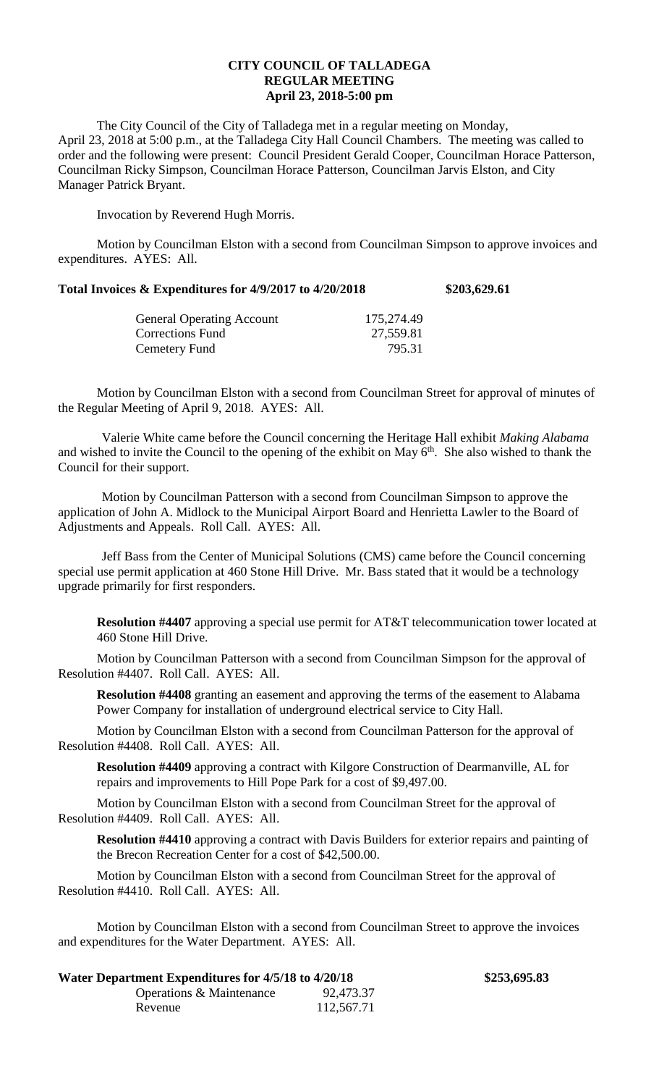## **CITY COUNCIL OF TALLADEGA REGULAR MEETING April 23, 2018-5:00 pm**

The City Council of the City of Talladega met in a regular meeting on Monday, April 23, 2018 at 5:00 p.m., at the Talladega City Hall Council Chambers. The meeting was called to order and the following were present: Council President Gerald Cooper, Councilman Horace Patterson, Councilman Ricky Simpson, Councilman Horace Patterson, Councilman Jarvis Elston, and City Manager Patrick Bryant.

Invocation by Reverend Hugh Morris.

Motion by Councilman Elston with a second from Councilman Simpson to approve invoices and expenditures. AYES: All.

## **Total Invoices & Expenditures for 4/9/2017 to 4/20/2018 \$203,629.61**

| 175,274.49 |
|------------|
| 27,559.81  |
| 795.31     |
|            |

Motion by Councilman Elston with a second from Councilman Street for approval of minutes of the Regular Meeting of April 9, 2018. AYES: All.

Valerie White came before the Council concerning the Heritage Hall exhibit *Making Alabama* and wished to invite the Council to the opening of the exhibit on May  $6<sup>th</sup>$ . She also wished to thank the Council for their support.

Motion by Councilman Patterson with a second from Councilman Simpson to approve the application of John A. Midlock to the Municipal Airport Board and Henrietta Lawler to the Board of Adjustments and Appeals. Roll Call. AYES: All.

Jeff Bass from the Center of Municipal Solutions (CMS) came before the Council concerning special use permit application at 460 Stone Hill Drive. Mr. Bass stated that it would be a technology upgrade primarily for first responders.

**Resolution #4407** approving a special use permit for AT&T telecommunication tower located at 460 Stone Hill Drive.

Motion by Councilman Patterson with a second from Councilman Simpson for the approval of Resolution #4407. Roll Call. AYES: All.

**Resolution #4408** granting an easement and approving the terms of the easement to Alabama Power Company for installation of underground electrical service to City Hall.

Motion by Councilman Elston with a second from Councilman Patterson for the approval of Resolution #4408. Roll Call. AYES: All.

**Resolution #4409** approving a contract with Kilgore Construction of Dearmanville, AL for repairs and improvements to Hill Pope Park for a cost of \$9,497.00.

Motion by Councilman Elston with a second from Councilman Street for the approval of Resolution #4409. Roll Call. AYES: All.

**Resolution #4410** approving a contract with Davis Builders for exterior repairs and painting of the Brecon Recreation Center for a cost of \$42,500.00.

**Water Department Expenditures for 4/5/18 to 4/20/18 \$253,695.83**

Motion by Councilman Elston with a second from Councilman Street for the approval of Resolution #4410. Roll Call. AYES: All.

Motion by Councilman Elston with a second from Councilman Street to approve the invoices and expenditures for the Water Department. AYES: All.

| Water Department Expenditures for 4/5/18 to 4/20/18 |            |
|-----------------------------------------------------|------------|
| Operations & Maintenance                            | 92,473.37  |
| Revenue                                             | 112,567.71 |